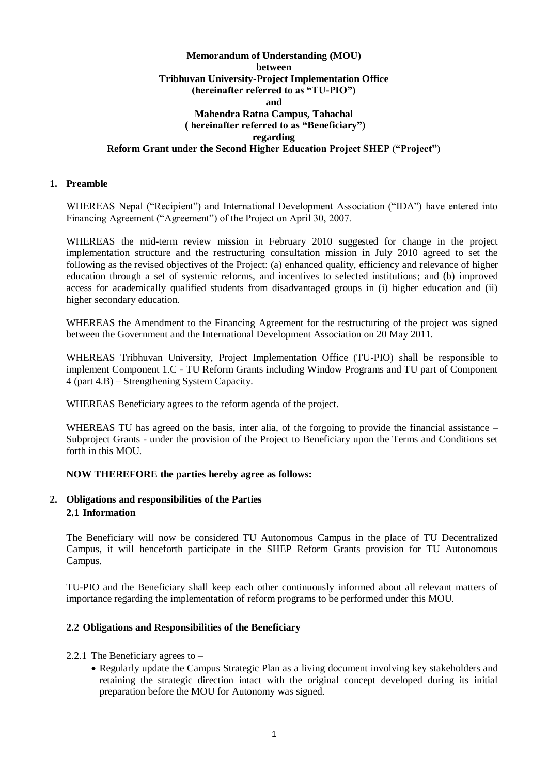### **Memorandum of Understanding (MOU) between Tribhuvan University-Project Implementation Office (hereinafter referred to as "TU-PIO") and Mahendra Ratna Campus, Tahachal ( hereinafter referred to as "Beneficiary") regarding Reform Grant under the Second Higher Education Project SHEP ("Project")**

#### **1. Preamble**

WHEREAS Nepal ("Recipient") and International Development Association ("IDA") have entered into Financing Agreement ("Agreement") of the Project on April 30, 2007.

WHEREAS the mid-term review mission in February 2010 suggested for change in the project implementation structure and the restructuring consultation mission in July 2010 agreed to set the following as the revised objectives of the Project: (a) enhanced quality, efficiency and relevance of higher education through a set of systemic reforms, and incentives to selected institutions; and (b) improved access for academically qualified students from disadvantaged groups in (i) higher education and (ii) higher secondary education.

WHEREAS the Amendment to the Financing Agreement for the restructuring of the project was signed between the Government and the International Development Association on 20 May 2011.

WHEREAS Tribhuvan University, Project Implementation Office (TU**-**PIO) shall be responsible to implement Component 1.C - TU Reform Grants including Window Programs and TU part of Component 4 (part 4.B) – Strengthening System Capacity.

WHEREAS Beneficiary agrees to the reform agenda of the project.

WHEREAS TU has agreed on the basis, inter alia, of the forgoing to provide the financial assistance – Subproject Grants - under the provision of the Project to Beneficiary upon the Terms and Conditions set forth in this MOU.

#### **NOW THEREFORE the parties hereby agree as follows:**

#### **2. Obligations and responsibilities of the Parties 2.1 Information**

The Beneficiary will now be considered TU Autonomous Campus in the place of TU Decentralized Campus, it will henceforth participate in the SHEP Reform Grants provision for TU Autonomous Campus.

TU-PIO and the Beneficiary shall keep each other continuously informed about all relevant matters of importance regarding the implementation of reform programs to be performed under this MOU.

#### **2.2 Obligations and Responsibilities of the Beneficiary**

- 2.2.1 The Beneficiary agrees to
	- Regularly update the Campus Strategic Plan as a living document involving key stakeholders and retaining the strategic direction intact with the original concept developed during its initial preparation before the MOU for Autonomy was signed.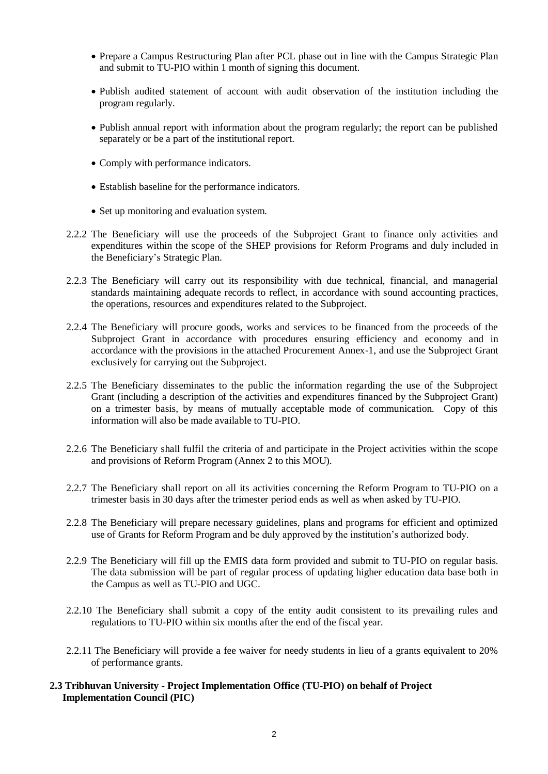- Prepare a Campus Restructuring Plan after PCL phase out in line with the Campus Strategic Plan and submit to TU-PIO within 1 month of signing this document.
- Publish audited statement of account with audit observation of the institution including the program regularly.
- Publish annual report with information about the program regularly; the report can be published separately or be a part of the institutional report.
- Comply with performance indicators.
- Establish baseline for the performance indicators.
- Set up monitoring and evaluation system.
- 2.2.2 The Beneficiary will use the proceeds of the Subproject Grant to finance only activities and expenditures within the scope of the SHEP provisions for Reform Programs and duly included in the Beneficiary's Strategic Plan.
- 2.2.3 The Beneficiary will carry out its responsibility with due technical, financial, and managerial standards maintaining adequate records to reflect, in accordance with sound accounting practices, the operations, resources and expenditures related to the Subproject.
- 2.2.4 The Beneficiary will procure goods, works and services to be financed from the proceeds of the Subproject Grant in accordance with procedures ensuring efficiency and economy and in accordance with the provisions in the attached Procurement Annex-1, and use the Subproject Grant exclusively for carrying out the Subproject.
- 2.2.5 The Beneficiary disseminates to the public the information regarding the use of the Subproject Grant (including a description of the activities and expenditures financed by the Subproject Grant) on a trimester basis, by means of mutually acceptable mode of communication. Copy of this information will also be made available to TU-PIO.
- 2.2.6 The Beneficiary shall fulfil the criteria of and participate in the Project activities within the scope and provisions of Reform Program (Annex 2 to this MOU).
- 2.2.7 The Beneficiary shall report on all its activities concerning the Reform Program to TU-PIO on a trimester basis in 30 days after the trimester period ends as well as when asked by TU-PIO.
- 2.2.8 The Beneficiary will prepare necessary guidelines, plans and programs for efficient and optimized use of Grants for Reform Program and be duly approved by the institution's authorized body.
- 2.2.9 The Beneficiary will fill up the EMIS data form provided and submit to TU-PIO on regular basis. The data submission will be part of regular process of updating higher education data base both in the Campus as well as TU-PIO and UGC.
- 2.2.10 The Beneficiary shall submit a copy of the entity audit consistent to its prevailing rules and regulations to TU-PIO within six months after the end of the fiscal year.
- 2.2.11 The Beneficiary will provide a fee waiver for needy students in lieu of a grants equivalent to 20% of performance grants.

## **2.3 Tribhuvan University - Project Implementation Office (TU-PIO) on behalf of Project Implementation Council (PIC)**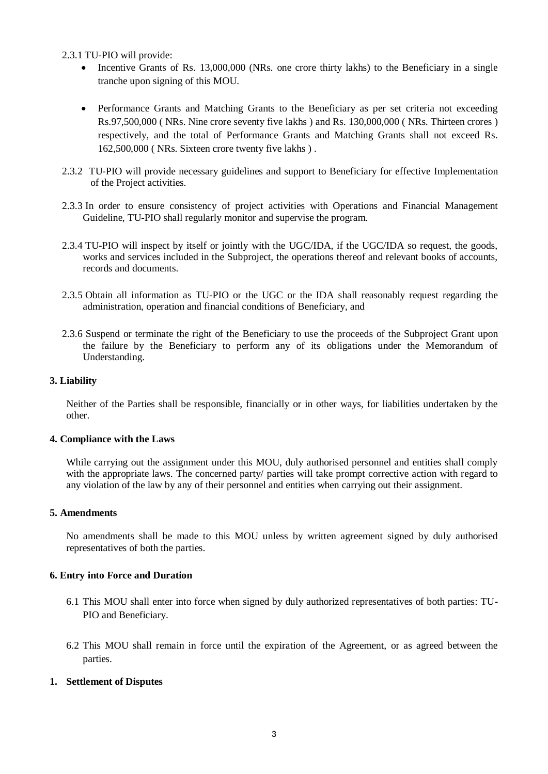2.3.1 TU-PIO will provide:

- Incentive Grants of Rs. 13,000,000 (NRs. one crore thirty lakhs) to the Beneficiary in a single tranche upon signing of this MOU.
- Performance Grants and Matching Grants to the Beneficiary as per set criteria not exceeding Rs.97,500,000 ( NRs. Nine crore seventy five lakhs ) and Rs. 130,000,000 ( NRs. Thirteen crores ) respectively, and the total of Performance Grants and Matching Grants shall not exceed Rs. 162,500,000 ( NRs. Sixteen crore twenty five lakhs ) .
- 2.3.2 TU-PIO will provide necessary guidelines and support to Beneficiary for effective Implementation of the Project activities.
- 2.3.3 In order to ensure consistency of project activities with Operations and Financial Management Guideline, TU-PIO shall regularly monitor and supervise the program.
- 2.3.4 TU-PIO will inspect by itself or jointly with the UGC/IDA, if the UGC/IDA so request, the goods, works and services included in the Subproject, the operations thereof and relevant books of accounts, records and documents.
- 2.3.5 Obtain all information as TU-PIO or the UGC or the IDA shall reasonably request regarding the administration, operation and financial conditions of Beneficiary, and
- 2.3.6 Suspend or terminate the right of the Beneficiary to use the proceeds of the Subproject Grant upon the failure by the Beneficiary to perform any of its obligations under the Memorandum of Understanding.

## **3. Liability**

Neither of the Parties shall be responsible, financially or in other ways, for liabilities undertaken by the other.

#### **4. Compliance with the Laws**

While carrying out the assignment under this MOU, duly authorised personnel and entities shall comply with the appropriate laws. The concerned party/ parties will take prompt corrective action with regard to any violation of the law by any of their personnel and entities when carrying out their assignment.

#### **5. Amendments**

No amendments shall be made to this MOU unless by written agreement signed by duly authorised representatives of both the parties.

#### **6. Entry into Force and Duration**

- 6.1 This MOU shall enter into force when signed by duly authorized representatives of both parties: TU-PIO and Beneficiary.
- 6.2 This MOU shall remain in force until the expiration of the Agreement, or as agreed between the parties.

#### **1. Settlement of Disputes**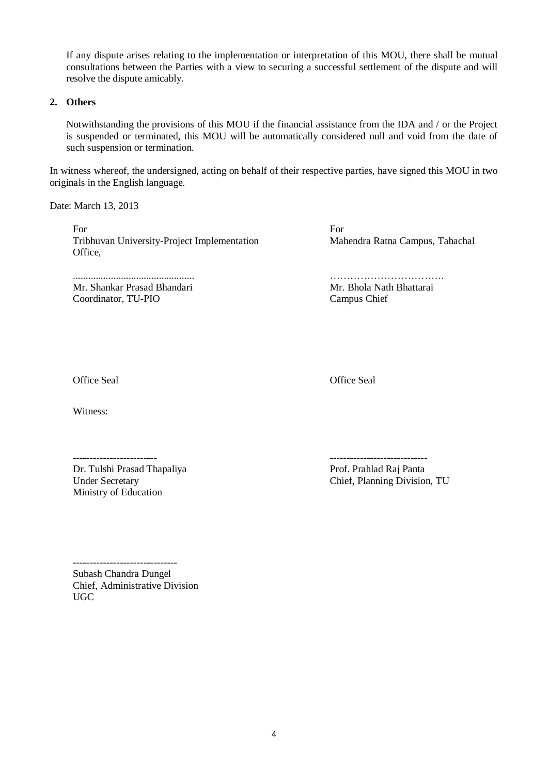If any dispute arises relating to the implementation or interpretation of this MOU, there shall be mutual consultations between the Parties with a view to securing a successful settlement of the dispute and will resolve the dispute amicably.

### **2. Others**

Notwithstanding the provisions of this MOU if the financial assistance from the IDA and / or the Project is suspended or terminated, this MOU will be automatically considered null and void from the date of such suspension or termination.

In witness whereof, the undersigned, acting on behalf of their respective parties, have signed this MOU in two originals in the English language.

Date: March 13, 2013

For Tribhuvan University-Project Implementation Office,

................................................ Mr. Shankar Prasad Bhandari Coordinator, TU-PIO

For Mahendra Ratna Campus, Tahachal

……………………………. Mr. Bhola Nath Bhattarai Campus Chief

Office Seal

Office Seal

Witness:

-------------------------

Dr. Tulshi Prasad Thapaliya Under Secretary Ministry of Education

----------------------------- Prof. Prahlad Raj Panta Chief, Planning Division, TU

------------------------------- Subash Chandra Dungel Chief, Administrative Division UGC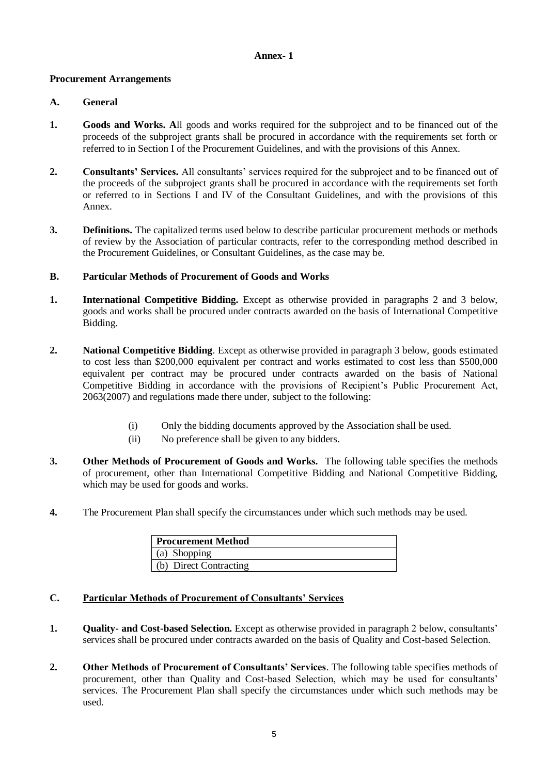#### **Annex- 1**

### **Procurement Arrangements**

## **A. General**

- **1. Goods and Works. A**ll goods and works required for the subproject and to be financed out of the proceeds of the subproject grants shall be procured in accordance with the requirements set forth or referred to in Section I of the Procurement Guidelines, and with the provisions of this Annex.
- **2. Consultants' Services.** All consultants' services required for the subproject and to be financed out of the proceeds of the subproject grants shall be procured in accordance with the requirements set forth or referred to in Sections I and IV of the Consultant Guidelines, and with the provisions of this Annex.
- **3. Definitions.** The capitalized terms used below to describe particular procurement methods or methods of review by the Association of particular contracts, refer to the corresponding method described in the Procurement Guidelines, or Consultant Guidelines, as the case may be.

## **B. Particular Methods of Procurement of Goods and Works**

- **1. International Competitive Bidding.** Except as otherwise provided in paragraphs 2 and 3 below, goods and works shall be procured under contracts awarded on the basis of International Competitive Bidding.
- **2. National Competitive Bidding**. Except as otherwise provided in paragraph 3 below, goods estimated to cost less than \$200,000 equivalent per contract and works estimated to cost less than \$500,000 equivalent per contract may be procured under contracts awarded on the basis of National Competitive Bidding in accordance with the provisions of Recipient's Public Procurement Act, 2063(2007) and regulations made there under, subject to the following:
	- (i) Only the bidding documents approved by the Association shall be used.
	- (ii) No preference shall be given to any bidders.
- **3. Other Methods of Procurement of Goods and Works.** The following table specifies the methods of procurement, other than International Competitive Bidding and National Competitive Bidding, which may be used for goods and works.
- **4.** The Procurement Plan shall specify the circumstances under which such methods may be used.

| <b>Procurement Method</b> |  |
|---------------------------|--|
| $(a)$ Shopping            |  |
| (b) Direct Contracting    |  |

# **C. Particular Methods of Procurement of Consultants' Services**

- **1. Quality- and Cost-based Selection.** Except as otherwise provided in paragraph 2 below, consultants' services shall be procured under contracts awarded on the basis of Quality and Cost-based Selection.
- **2. Other Methods of Procurement of Consultants' Services**. The following table specifies methods of procurement, other than Quality and Cost-based Selection, which may be used for consultants' services. The Procurement Plan shall specify the circumstances under which such methods may be used.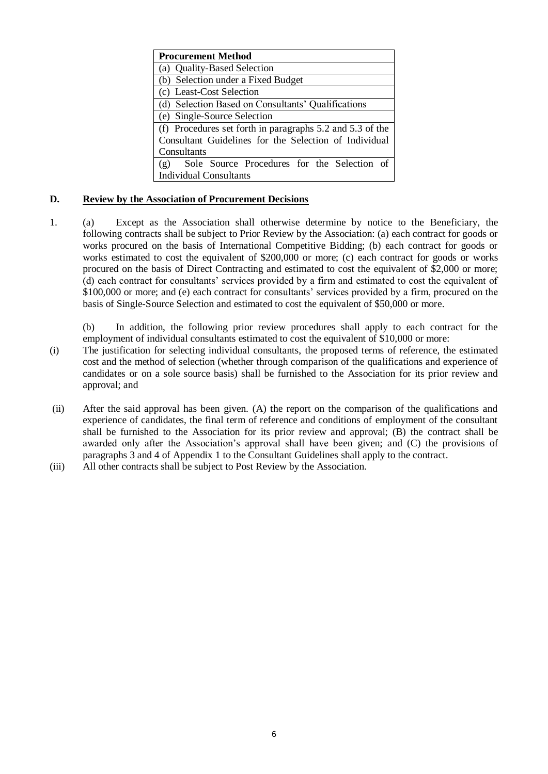| <b>Procurement Method</b>                                       |  |  |  |  |  |  |  |
|-----------------------------------------------------------------|--|--|--|--|--|--|--|
| (a) Quality-Based Selection                                     |  |  |  |  |  |  |  |
| (b) Selection under a Fixed Budget                              |  |  |  |  |  |  |  |
| (c) Least-Cost Selection                                        |  |  |  |  |  |  |  |
| (d) Selection Based on Consultants' Qualifications              |  |  |  |  |  |  |  |
| (e) Single-Source Selection                                     |  |  |  |  |  |  |  |
| (f) Procedures set forth in paragraphs 5.2 and 5.3 of the       |  |  |  |  |  |  |  |
| Consultant Guidelines for the Selection of Individual           |  |  |  |  |  |  |  |
| Consultants                                                     |  |  |  |  |  |  |  |
| Sole Source Procedures for the Selection of<br>$(\overline{g})$ |  |  |  |  |  |  |  |
| <b>Individual Consultants</b>                                   |  |  |  |  |  |  |  |

## **D. Review by the Association of Procurement Decisions**

1. (a) Except as the Association shall otherwise determine by notice to the Beneficiary, the following contracts shall be subject to Prior Review by the Association: (a) each contract for goods or works procured on the basis of International Competitive Bidding; (b) each contract for goods or works estimated to cost the equivalent of \$200,000 or more; (c) each contract for goods or works procured on the basis of Direct Contracting and estimated to cost the equivalent of \$2,000 or more; (d) each contract for consultants' services provided by a firm and estimated to cost the equivalent of \$100,000 or more; and (e) each contract for consultants' services provided by a firm, procured on the basis of Single-Source Selection and estimated to cost the equivalent of \$50,000 or more.

(b) In addition, the following prior review procedures shall apply to each contract for the employment of individual consultants estimated to cost the equivalent of \$10,000 or more:

- (i) The justification for selecting individual consultants, the proposed terms of reference, the estimated cost and the method of selection (whether through comparison of the qualifications and experience of candidates or on a sole source basis) shall be furnished to the Association for its prior review and approval; and
- (ii) After the said approval has been given. (A) the report on the comparison of the qualifications and experience of candidates, the final term of reference and conditions of employment of the consultant shall be furnished to the Association for its prior review and approval; (B) the contract shall be awarded only after the Association's approval shall have been given; and (C) the provisions of paragraphs 3 and 4 of Appendix 1 to the Consultant Guidelines shall apply to the contract.
- (iii) All other contracts shall be subject to Post Review by the Association.